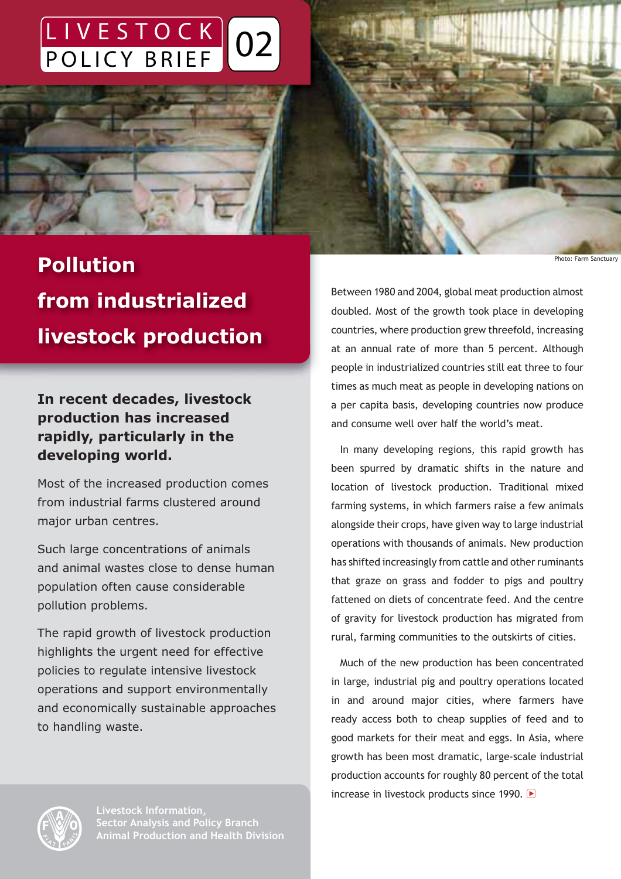# LIVESTOCK 02 POLICY BRIEF



# **Pollution from industrialized livestock production**

**In recent decades, livestock production has increased rapidly, particularly in the developing world.**

Most of the increased production comes from industrial farms clustered around major urban centres.

Such large concentrations of animals and animal wastes close to dense human population often cause considerable pollution problems.

The rapid growth of livestock production highlights the urgent need for effective policies to regulate intensive livestock operations and support environmentally and economically sustainable approaches to handling waste.

Between 1980 and 2004, global meat production almost doubled. Most of the growth took place in developing countries, where production grew threefold, increasing at an annual rate of more than 5 percent. Although people in industrialized countries still eat three to four times as much meat as people in developing nations on a per capita basis, developing countries now produce and consume well over half the world's meat.

In many developing regions, this rapid growth has been spurred by dramatic shifts in the nature and location of livestock production. Traditional mixed farming systems, in which farmers raise a few animals alongside their crops, have given way to large industrial operations with thousands of animals. New production has shifted increasingly from cattle and other ruminants that graze on grass and fodder to pigs and poultry fattened on diets of concentrate feed. And the centre of gravity for livestock production has migrated from rural, farming communities to the outskirts of cities.

Much of the new production has been concentrated in large, industrial pig and poultry operations located in and around major cities, where farmers have ready access both to cheap supplies of feed and to good markets for their meat and eggs. In Asia, where growth has been most dramatic, large-scale industrial production accounts for roughly 80 percent of the total increase in livestock products since 1990. ▶



Photo: Farm Sanctuary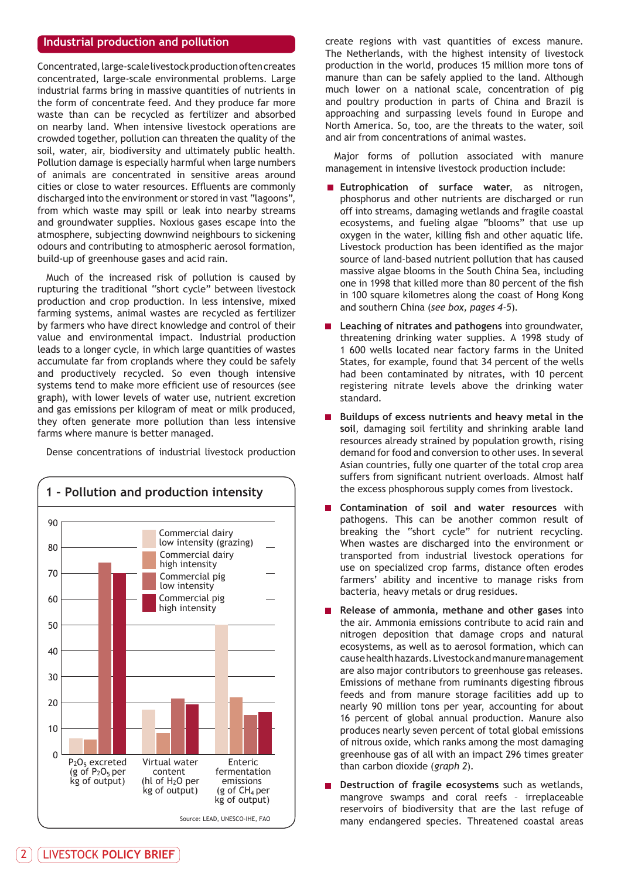#### **Industrial production and pollution**

Concentrated, large-scale livestock production often creates concentrated, large-scale environmental problems. Large industrial farms bring in massive quantities of nutrients in the form of concentrate feed. And they produce far more waste than can be recycled as fertilizer and absorbed on nearby land. When intensive livestock operations are crowded together, pollution can threaten the quality of the soil, water, air, biodiversity and ultimately public health. Pollution damage is especially harmful when large numbers of animals are concentrated in sensitive areas around cities or close to water resources. Effluents are commonly discharged into the environment or stored in vast "lagoons", from which waste may spill or leak into nearby streams and groundwater supplies. Noxious gases escape into the atmosphere, subjecting downwind neighbours to sickening odours and contributing to atmospheric aerosol formation, build-up of greenhouse gases and acid rain.

Much of the increased risk of pollution is caused by rupturing the traditional "short cycle" between livestock production and crop production. In less intensive, mixed farming systems, animal wastes are recycled as fertilizer by farmers who have direct knowledge and control of their value and environmental impact. Industrial production leads to a longer cycle, in which large quantities of wastes accumulate far from croplands where they could be safely and productively recycled. So even though intensive systems tend to make more efficient use of resources (see graph), with lower levels of water use, nutrient excretion and gas emissions per kilogram of meat or milk produced, they often generate more pollution than less intensive farms where manure is better managed.

Dense concentrations of industrial livestock production



create regions with vast quantities of excess manure. The Netherlands, with the highest intensity of livestock production in the world, produces 15 million more tons of manure than can be safely applied to the land. Although much lower on a national scale, concentration of pig and poultry production in parts of China and Brazil is approaching and surpassing levels found in Europe and North America. So, too, are the threats to the water, soil and air from concentrations of animal wastes.

Major forms of pollution associated with manure management in intensive livestock production include:

- **Eutrophication of surface water**, as nitrogen, phosphorus and other nutrients are discharged or run off into streams, damaging wetlands and fragile coastal ecosystems, and fueling algae "blooms" that use up oxygen in the water, killing fish and other aquatic life. Livestock production has been identified as the major source of land-based nutrient pollution that has caused massive algae blooms in the South China Sea, including one in 1998 that killed more than 80 percent of the fish in 100 square kilometres along the coast of Hong Kong and southern China (*see box, pages 4-5*).
- **Leaching of nitrates and pathogens** into groundwater, threatening drinking water supplies. A 1998 study of 1 600 wells located near factory farms in the United States, for example, found that 34 percent of the wells had been contaminated by nitrates, with 10 percent registering nitrate levels above the drinking water standard.
- **Buildups of excess nutrients and heavy metal in the soil**, damaging soil fertility and shrinking arable land resources already strained by population growth, rising demand for food and conversion to other uses. In several Asian countries, fully one quarter of the total crop area suffers from significant nutrient overloads. Almost half the excess phosphorous supply comes from livestock.
- **Contamination of soil and water resources** with pathogens. This can be another common result of breaking the "short cycle" for nutrient recycling. When wastes are discharged into the environment or transported from industrial livestock operations for use on specialized crop farms, distance often erodes farmers' ability and incentive to manage risks from bacteria, heavy metals or drug residues.
- **Release of ammonia, methane and other gases** into the air. Ammonia emissions contribute to acid rain and nitrogen deposition that damage crops and natural ecosystems, as well as to aerosol formation, which can cause health hazards. Livestock and manure management are also major contributors to greenhouse gas releases. Emissions of methane from ruminants digesting fibrous feeds and from manure storage facilities add up to nearly 90 million tons per year, accounting for about 16 percent of global annual production. Manure also produces nearly seven percent of total global emissions of nitrous oxide, which ranks among the most damaging greenhouse gas of all with an impact 296 times greater than carbon dioxide (*graph 2*).
- **Destruction of fragile ecosystems** such as wetlands, mangrove swamps and coral reefs – irreplaceable reservoirs of biodiversity that are the last refuge of many endangered species. Threatened coastal areas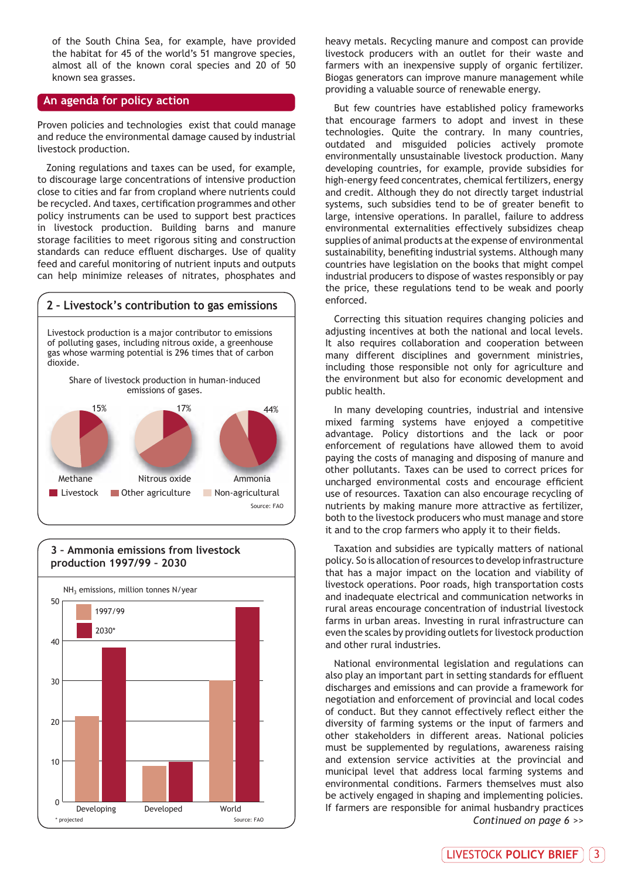of the South China Sea, for example, have provided the habitat for 45 of the world's 51 mangrove species, almost all of the known coral species and 20 of 50 known sea grasses.

#### **An agenda for policy action**

Proven policies and technologies exist that could manage and reduce the environmental damage caused by industrial livestock production.

Zoning regulations and taxes can be used, for example, to discourage large concentrations of intensive production close to cities and far from cropland where nutrients could be recycled. And taxes, certification programmes and other policy instruments can be used to support best practices in livestock production. Building barns and manure storage facilities to meet rigorous siting and construction standards can reduce effluent discharges. Use of quality feed and careful monitoring of nutrient inputs and outputs can help minimize releases of nitrates, phosphates and





**3 – Ammonia emissions from livestock production 1997/99 – 2030**

heavy metals. Recycling manure and compost can provide livestock producers with an outlet for their waste and farmers with an inexpensive supply of organic fertilizer. Biogas generators can improve manure management while providing a valuable source of renewable energy.

But few countries have established policy frameworks that encourage farmers to adopt and invest in these technologies. Quite the contrary. In many countries, outdated and misguided policies actively promote environmentally unsustainable livestock production. Many developing countries, for example, provide subsidies for high-energy feed concentrates, chemical fertilizers, energy and credit. Although they do not directly target industrial systems, such subsidies tend to be of greater benefit to large, intensive operations. In parallel, failure to address environmental externalities effectively subsidizes cheap supplies of animal products at the expense of environmental sustainability, benefiting industrial systems. Although many countries have legislation on the books that might compel industrial producers to dispose of wastes responsibly or pay the price, these regulations tend to be weak and poorly enforced.

Correcting this situation requires changing policies and adjusting incentives at both the national and local levels. It also requires collaboration and cooperation between many different disciplines and government ministries, including those responsible not only for agriculture and the environment but also for economic development and public health.

In many developing countries, industrial and intensive mixed farming systems have enjoyed a competitive advantage. Policy distortions and the lack or poor enforcement of regulations have allowed them to avoid paying the costs of managing and disposing of manure and other pollutants. Taxes can be used to correct prices for uncharged environmental costs and encourage efficient use of resources. Taxation can also encourage recycling of nutrients by making manure more attractive as fertilizer, both to the livestock producers who must manage and store it and to the crop farmers who apply it to their fields.

Taxation and subsidies are typically matters of national policy. So is allocation of resources to develop infrastructure that has a major impact on the location and viability of livestock operations. Poor roads, high transportation costs and inadequate electrical and communication networks in rural areas encourage concentration of industrial livestock farms in urban areas. Investing in rural infrastructure can even the scales by providing outlets for livestock production and other rural industries.

National environmental legislation and regulations can also play an important part in setting standards for effluent discharges and emissions and can provide a framework for negotiation and enforcement of provincial and local codes of conduct. But they cannot effectively reflect either the diversity of farming systems or the input of farmers and other stakeholders in different areas. National policies must be supplemented by regulations, awareness raising and extension service activities at the provincial and municipal level that address local farming systems and environmental conditions. Farmers themselves must also be actively engaged in shaping and implementing policies. If farmers are responsible for animal husbandry practices *Continued on page 6 >>*

LIVESTOCK **POLICY BRIEF** 3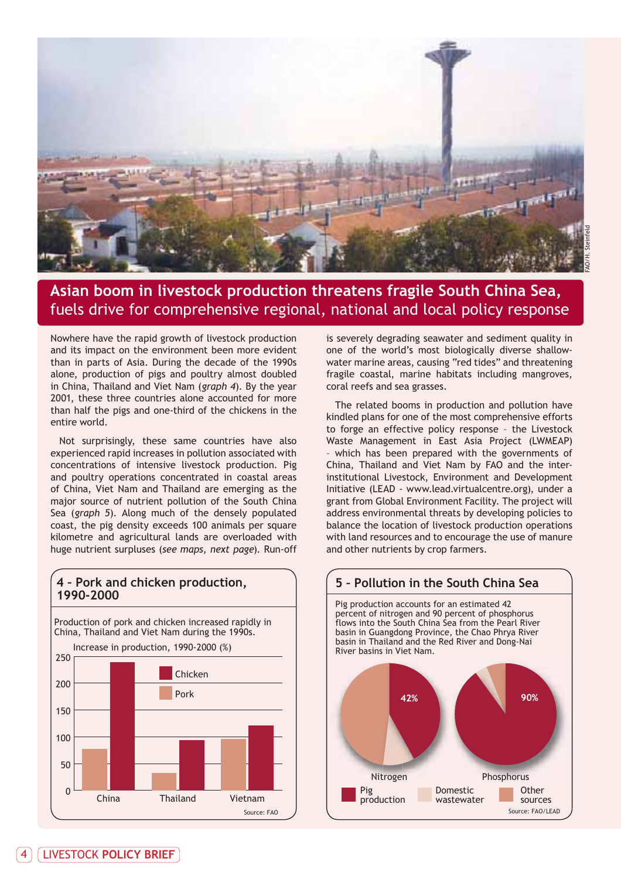

## **Asian boom in livestock production threatens fragile South China Sea,** fuels drive for comprehensive regional, national and local policy response

Nowhere have the rapid growth of livestock production and its impact on the environment been more evident than in parts of Asia. During the decade of the 1990s alone, production of pigs and poultry almost doubled in China, Thailand and Viet Nam (*graph 4*). By the year 2001, these three countries alone accounted for more than half the pigs and one-third of the chickens in the entire world.

Not surprisingly, these same countries have also experienced rapid increases in pollution associated with concentrations of intensive livestock production. Pig and poultry operations concentrated in coastal areas of China, Viet Nam and Thailand are emerging as the major source of nutrient pollution of the South China Sea (*graph 5*). Along much of the densely populated coast, the pig density exceeds 100 animals per square kilometre and agricultural lands are overloaded with huge nutrient surpluses (*see maps, next page*). Run-off



**4 – Pork and chicken production,**

is severely degrading seawater and sediment quality in one of the world's most biologically diverse shallowwater marine areas, causing "red tides" and threatening fragile coastal, marine habitats including mangroves, coral reefs and sea grasses.

The related booms in production and pollution have kindled plans for one of the most comprehensive efforts to forge an effective policy response – the Livestock Waste Management in East Asia Project (LWMEAP) which has been prepared with the governments of China, Thailand and Viet Nam by FAO and the interinstitutional Livestock, Environment and Development Initiative (LEAD - www.lead.virtualcentre.org), under a grant from Global Environment Facility. The project will address environmental threats by developing policies to balance the location of livestock production operations with land resources and to encourage the use of manure and other nutrients by crop farmers.

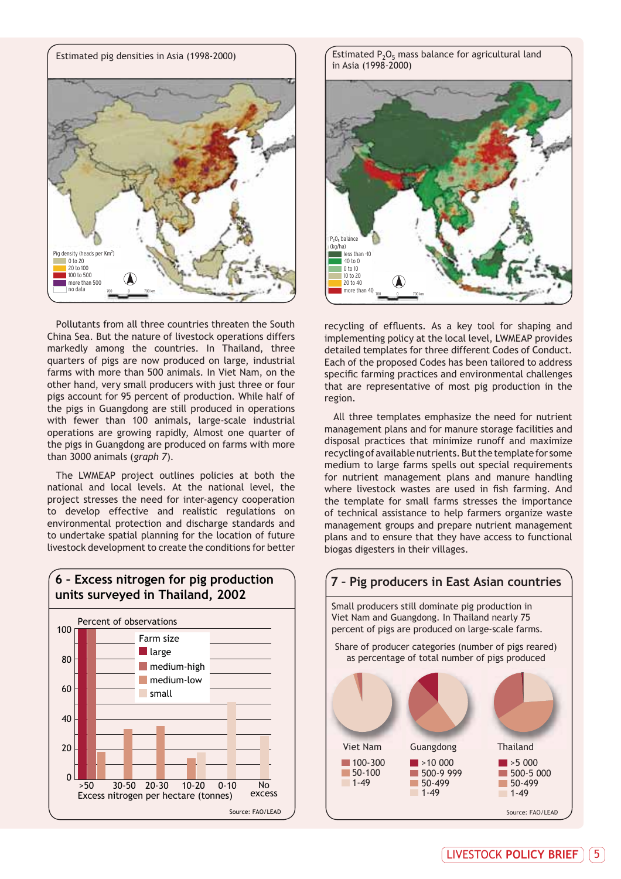

Pollutants from all three countries threaten the South China Sea. But the nature of livestock operations differs markedly among the countries. In Thailand, three quarters of pigs are now produced on large, industrial farms with more than 500 animals. In Viet Nam, on the other hand, very small producers with just three or four pigs account for 95 percent of production. While half of the pigs in Guangdong are still produced in operations with fewer than 100 animals, large-scale industrial operations are growing rapidly, Almost one quarter of the pigs in Guangdong are produced on farms with more than 3000 animals (*graph 7*).

The LWMEAP project outlines policies at both the national and local levels. At the national level, the project stresses the need for inter-agency cooperation to develop effective and realistic regulations on environmental protection and discharge standards and to undertake spatial planning for the location of future livestock development to create the conditions for better



in Asia (1998-2000)



recycling of effluents. As a key tool for shaping and implementing policy at the local level, LWMEAP provides detailed templates for three different Codes of Conduct. Each of the proposed Codes has been tailored to address specific farming practices and environmental challenges that are representative of most pig production in the region.

All three templates emphasize the need for nutrient management plans and for manure storage facilities and disposal practices that minimize runoff and maximize recycling of available nutrients. But the template for some medium to large farms spells out special requirements for nutrient management plans and manure handling where livestock wastes are used in fish farming. And the template for small farms stresses the importance of technical assistance to help farmers organize waste management groups and prepare nutrient management plans and to ensure that they have access to functional biogas digesters in their villages.

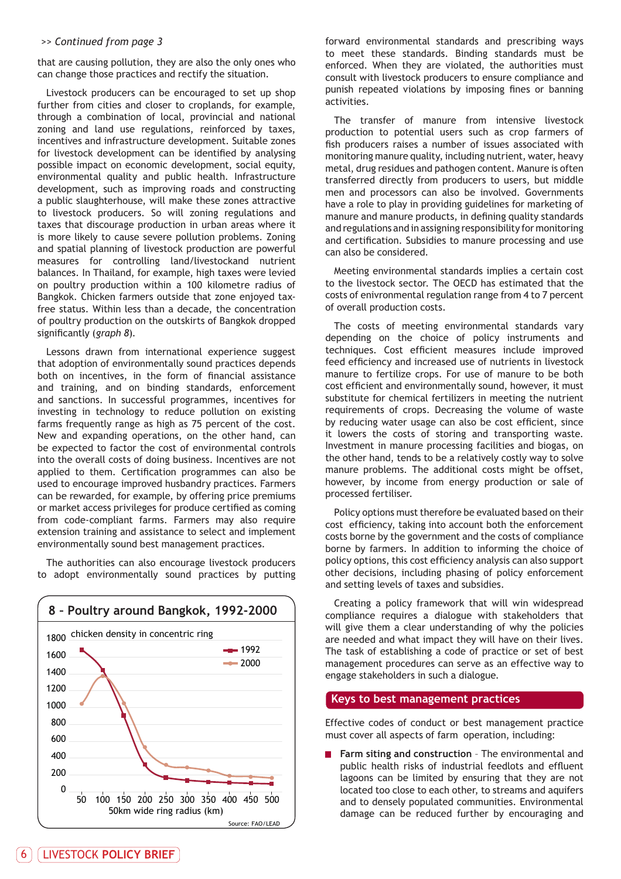#### *>> Continued from page 3*

that are causing pollution, they are also the only ones who can change those practices and rectify the situation.

Livestock producers can be encouraged to set up shop further from cities and closer to croplands, for example, through a combination of local, provincial and national zoning and land use regulations, reinforced by taxes, incentives and infrastructure development. Suitable zones for livestock development can be identified by analysing possible impact on economic development, social equity, environmental quality and public health. Infrastructure development, such as improving roads and constructing a public slaughterhouse, will make these zones attractive to livestock producers. So will zoning regulations and taxes that discourage production in urban areas where it is more likely to cause severe pollution problems. Zoning and spatial planning of livestock production are powerful measures for controlling land/livestockand nutrient balances. In Thailand, for example, high taxes were levied on poultry production within a 100 kilometre radius of Bangkok. Chicken farmers outside that zone enjoyed taxfree status. Within less than a decade, the concentration of poultry production on the outskirts of Bangkok dropped significantly (*graph 8*).

Lessons drawn from international experience suggest that adoption of environmentally sound practices depends both on incentives, in the form of financial assistance and training, and on binding standards, enforcement and sanctions. In successful programmes, incentives for investing in technology to reduce pollution on existing farms frequently range as high as 75 percent of the cost. New and expanding operations, on the other hand, can be expected to factor the cost of environmental controls into the overall costs of doing business. Incentives are not applied to them. Certification programmes can also be used to encourage improved husbandry practices. Farmers can be rewarded, for example, by offering price premiums or market access privileges for produce certified as coming from code-compliant farms. Farmers may also require extension training and assistance to select and implement environmentally sound best management practices.

The authorities can also encourage livestock producers to adopt environmentally sound practices by putting



forward environmental standards and prescribing ways to meet these standards. Binding standards must be enforced. When they are violated, the authorities must consult with livestock producers to ensure compliance and punish repeated violations by imposing fines or banning activities.

The transfer of manure from intensive livestock production to potential users such as crop farmers of fish producers raises a number of issues associated with monitoring manure quality, including nutrient, water, heavy metal, drug residues and pathogen content. Manure is often transferred directly from producers to users, but middle men and processors can also be involved. Governments have a role to play in providing guidelines for marketing of manure and manure products, in defining quality standards and regulations and in assigning responsibility for monitoring and certification. Subsidies to manure processing and use can also be considered.

Meeting environmental standards implies a certain cost to the livestock sector. The OECD has estimated that the costs of enivronmental regulation range from 4 to 7 percent of overall production costs.

The costs of meeting environmental standards vary depending on the choice of policy instruments and techniques. Cost efficient measures include improved feed efficiency and increased use of nutrients in livestock manure to fertilize crops. For use of manure to be both cost efficient and environmentally sound, however, it must substitute for chemical fertilizers in meeting the nutrient requirements of crops. Decreasing the volume of waste by reducing water usage can also be cost efficient, since it lowers the costs of storing and transporting waste. Investment in manure processing facilities and biogas, on the other hand, tends to be a relatively costly way to solve manure problems. The additional costs might be offset, however, by income from energy production or sale of processed fertiliser.

Policy options must therefore be evaluated based on their cost efficiency, taking into account both the enforcement costs borne by the government and the costs of compliance borne by farmers. In addition to informing the choice of policy options, this cost efficiency analysis can also support other decisions, including phasing of policy enforcement and setting levels of taxes and subsidies.

Creating a policy framework that will win widespread compliance requires a dialogue with stakeholders that will give them a clear understanding of why the policies are needed and what impact they will have on their lives. The task of establishing a code of practice or set of best management procedures can serve as an effective way to engage stakeholders in such a dialogue.

#### **Keys to best management practices**

Effective codes of conduct or best management practice must cover all aspects of farm operation, including:

**Farm siting and construction** - The environmental and public health risks of industrial feedlots and effluent lagoons can be limited by ensuring that they are not located too close to each other, to streams and aquifers and to densely populated communities. Environmental damage can be reduced further by encouraging and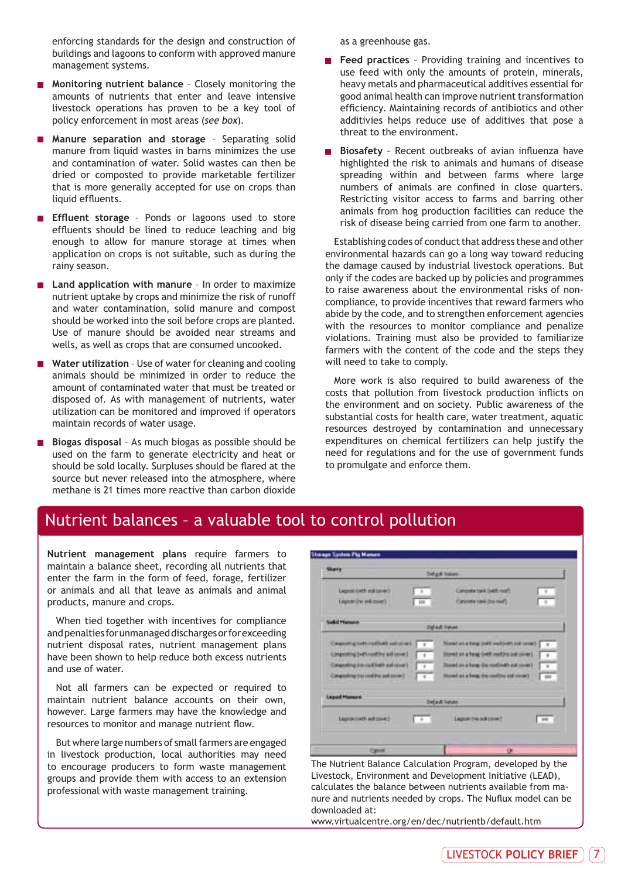enforcing standards for the design and construction of buildings and lagoons to conform with approved manure management systems.

- **Monitoring nutrient balance** Closely monitoring the amounts of nutrients that enter and leave intensive livestock operations has proven to be a key tool of policy enforcement in most areas (*see box*).
- **Manure separation and storage** Separating solid manure from liquid wastes in barns minimizes the use and contamination of water. Solid wastes can then be dried or composted to provide marketable fertilizer that is more generally accepted for use on crops than liquid effluents.
- **Effluent storage** Ponds or lagoons used to store effluents should be lined to reduce leaching and big enough to allow for manure storage at times when application on crops is not suitable, such as during the rainy season.
- **Land application with manure** In order to maximize nutrient uptake by crops and minimize the risk of runoff and water contamination, solid manure and compost should be worked into the soil before crops are planted. Use of manure should be avoided near streams and wells, as well as crops that are consumed uncooked.
- Water utilization Use of water for cleaning and cooling animals should be minimized in order to reduce the amount of contaminated water that must be treated or disposed of. As with management of nutrients, water utilization can be monitored and improved if operators maintain records of water usage.
- **Biogas disposal** As much biogas as possible should be used on the farm to generate electricity and heat or should be sold locally. Surpluses should be flared at the source but never released into the atmosphere, where methane is 21 times more reactive than carbon dioxide

as a greenhouse gas.

- **Feed practices** Providing training and incentives to use feed with only the amounts of protein, minerals, heavy metals and pharmaceutical additives essential for good animal health can improve nutrient transformation efficiency. Maintaining records of antibiotics and other additivies helps reduce use of additives that pose a threat to the environment.
- **Biosafety** Recent outbreaks of avian influenza have highlighted the risk to animals and humans of disease spreading within and between farms where large numbers of animals are confined in close quarters. Restricting visitor access to farms and barring other animals from hog production facilities can reduce the risk of disease being carried from one farm to another.

Establishing codes of conduct that address these and other environmental hazards can go a long way toward reducing the damage caused by industrial livestock operations. But only if the codes are backed up by policies and programmes to raise awareness about the environmental risks of noncompliance, to provide incentives that reward farmers who abide by the code, and to strengthen enforcement agencies with the resources to monitor compliance and penalize violations. Training must also be provided to familiarize farmers with the content of the code and the steps they will need to take to comply.

More work is also required to build awareness of the costs that pollution from livestock production inflicts on the environment and on society. Public awareness of the substantial costs for health care, water treatment, aquatic resources destroyed by contamination and unnecessary expenditures on chemical fertilizers can help justify the need for regulations and for the use of government funds to promulgate and enforce them.

### Nutrient balances – a valuable tool to control pollution

**Nutrient management plans** require farmers to maintain a balance sheet, recording all nutrients that enter the farm in the form of feed, forage, fertilizer or animals and all that leave as animals and animal products, manure and crops.

When tied together with incentives for compliance and penalties for unmanaged discharges or for exceeding nutrient disposal rates, nutrient management plans have been shown to help reduce both excess nutrients and use of water.

Not all farmers can be expected or required to maintain nutrient balance accounts on their own, however. Large farmers may have the knowledge and resources to monitor and manage nutrient flow.

But where large numbers of small farmers are engaged in livestock production, local authorities may need to encourage producers to form waste management groups and provide them with access to an extension professional with waste management training.

| Lagrosi (with aulignvier)<br>Comprehe travel (with roof)<br>т<br>Legron (the end cover)<br>(Tanzania kanki (tra mad)<br>100<br><b>Stat Teles</b><br>Coopering orthres (held sellates).<br>Three in the part in the part and a record<br>¥<br>Compositing Cush need the authorized<br>Direct as a heat their resting and more.<br>$+1$<br>Compeniing (nis road) with such cover \$<br>tions in a bear the null set and count-<br>$\overline{1}$<br>Completing (nervositing politician)<br>Direct as a fees; (he confins out strong) /<br>$\overline{a}$ | <b>Silvery</b><br>- - - | Difuse Nature                                |
|--------------------------------------------------------------------------------------------------------------------------------------------------------------------------------------------------------------------------------------------------------------------------------------------------------------------------------------------------------------------------------------------------------------------------------------------------------------------------------------------------------------------------------------------------------|-------------------------|----------------------------------------------|
| <b>Solid Manuel</b>                                                                                                                                                                                                                                                                                                                                                                                                                                                                                                                                    |                         | $\overline{B}$<br>-1                         |
|                                                                                                                                                                                                                                                                                                                                                                                                                                                                                                                                                        |                         |                                              |
| Liquid Muneet                                                                                                                                                                                                                                                                                                                                                                                                                                                                                                                                          |                         | $\overline{ }$<br>$\mathbb{R}^n$<br>7<br>888 |
|                                                                                                                                                                                                                                                                                                                                                                                                                                                                                                                                                        |                         | <b>Ended Twine</b>                           |
| <b>Lepostett ed co-et</b><br>Lagran (no solitowe)<br>÷                                                                                                                                                                                                                                                                                                                                                                                                                                                                                                 |                         | <b>HE</b>                                    |

The Nutrient Balance Calculation Program, developed by the Livestock, Environment and Development Initiative (LEAD), calculates the balance between nutrients available from manure and nutrients needed by crops. The Nuflux model can be downloaded at:

www.virtualcentre.org/en/dec/nutrientb/default.htm